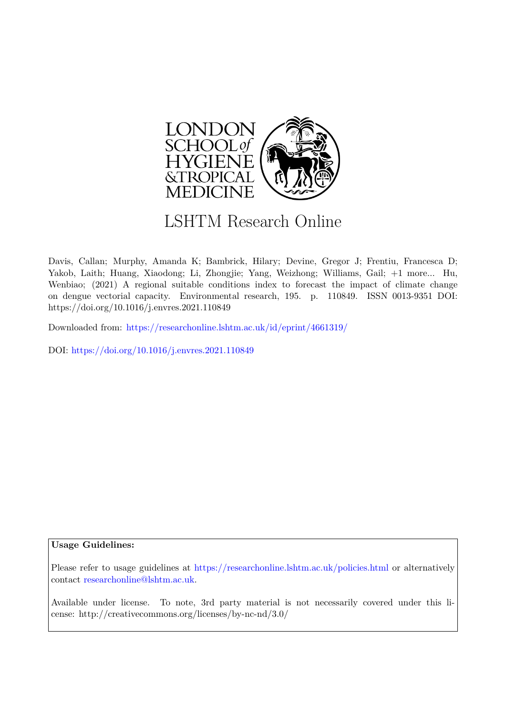

# LSHTM Research Online

Davis, Callan; Murphy, Amanda K; Bambrick, Hilary; Devine, Gregor J; Frentiu, Francesca D; Yakob, Laith; Huang, Xiaodong; Li, Zhongjie; Yang, Weizhong; Williams, Gail; +1 more... Hu, Wenbiao; (2021) A regional suitable conditions index to forecast the impact of climate change on dengue vectorial capacity. Environmental research, 195. p. 110849. ISSN 0013-9351 DOI: https://doi.org/10.1016/j.envres.2021.110849

Downloaded from: <https://researchonline.lshtm.ac.uk/id/eprint/4661319/>

DOI: https://doi.org/10.1016/j.envres.2021.110849

# **Usage Guidelines:**

Please refer to usage guidelines at <https://researchonline.lshtm.ac.uk/policies.html> or alternatively contact [researchonline@lshtm.ac.uk.](mailto:researchonline@lshtm.ac.uk)

Available under license. To note, 3rd party material is not necessarily covered under this license: http://creativecommons.org/licenses/by-nc-nd/3.0/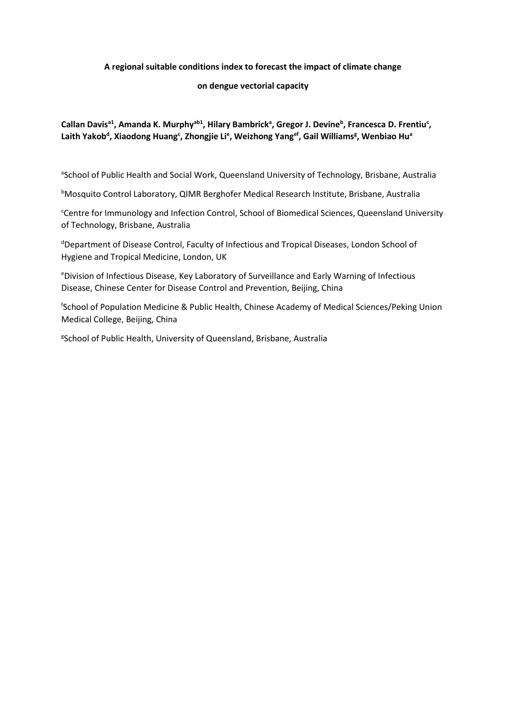# **A regional suitable conditions index to forecast the impact of climate change**

# **on dengue vectorial capacity**

# **Callan Davisa1, Amanda K. Murphyab1, Hilary Bambrick<sup>a</sup> , Gregor J. Devine<sup>b</sup> , Francesca D. Frentiu<sup>c</sup> , Laith Yakob<sup>d</sup> , Xiaodong Huang<sup>c</sup> , Zhongjie Li<sup>e</sup> , Weizhong Yangef, Gail Williams<sup>g</sup> , Wenbiao Hu<sup>a</sup>**

aSchool of Public Health and Social Work, Queensland University of Technology, Brisbane, Australia

**bMosquito Control Laboratory, QIMR Berghofer Medical Research Institute, Brisbane, Australia** 

<sup>c</sup>Centre for Immunology and Infection Control, School of Biomedical Sciences, Queensland University of Technology, Brisbane, Australia

<sup>d</sup>Department of Disease Control, Faculty of Infectious and Tropical Diseases, London School of Hygiene and Tropical Medicine, London, UK

<sup>e</sup>Division of Infectious Disease, Key Laboratory of Surveillance and Early Warning of Infectious Disease, Chinese Center for Disease Control and Prevention, Beijing, China

f School of Population Medicine & Public Health, Chinese Academy of Medical Sciences/Peking Union Medical College, Beijing, China

<sup>g</sup>School of Public Health, University of Queensland, Brisbane, Australia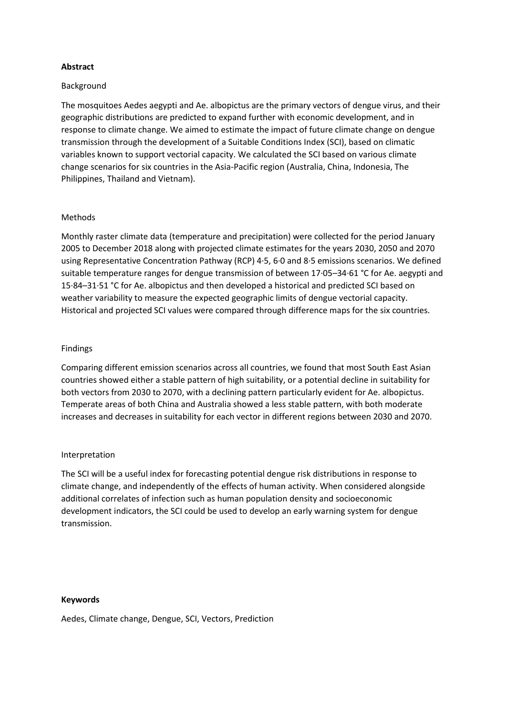# **Abstract**

#### Background

The mosquitoes Aedes aegypti and Ae. albopictus are the primary vectors of dengue virus, and their geographic distributions are predicted to expand further with economic development, and in response to climate change. We aimed to estimate the impact of future climate change on dengue transmission through the development of a Suitable Conditions Index (SCI), based on climatic variables known to support vectorial capacity. We calculated the SCI based on various climate change scenarios for six countries in the Asia-Pacific region (Australia, China, Indonesia, The Philippines, Thailand and Vietnam).

#### Methods

Monthly raster climate data (temperature and precipitation) were collected for the period January 2005 to December 2018 along with projected climate estimates for the years 2030, 2050 and 2070 using Representative Concentration Pathway (RCP) 4·5, 6·0 and 8·5 emissions scenarios. We defined suitable temperature ranges for dengue transmission of between 17·05–34·61 °C for Ae. aegypti and 15·84–31·51 °C for Ae. albopictus and then developed a historical and predicted SCI based on weather variability to measure the expected geographic limits of dengue vectorial capacity. Historical and projected SCI values were compared through difference maps for the six countries.

#### Findings

Comparing different emission scenarios across all countries, we found that most South East Asian countries showed either a stable pattern of high suitability, or a potential decline in suitability for both vectors from 2030 to 2070, with a declining pattern particularly evident for Ae. albopictus. Temperate areas of both China and Australia showed a less stable pattern, with both moderate increases and decreases in suitability for each vector in different regions between 2030 and 2070.

# Interpretation

The SCI will be a useful index for forecasting potential dengue risk distributions in response to climate change, and independently of the effects of human activity. When considered alongside additional correlates of infection such as human population density and socioeconomic development indicators, the SCI could be used to develop an early warning system for dengue transmission.

#### **Keywords**

Aedes, Climate change, Dengue, SCI, Vectors, Prediction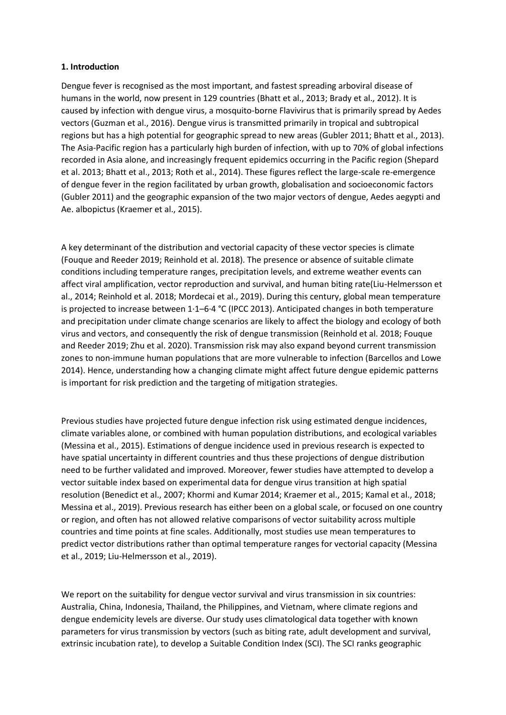# **1. Introduction**

Dengue fever is recognised as the most important, and fastest spreading arboviral disease of humans in the world, now present in 129 countries (Bhatt et al., 2013; Brady et al., 2012). It is caused by infection with dengue virus, a mosquito-borne Flavivirus that is primarily spread by Aedes vectors (Guzman et al., 2016). Dengue virus is transmitted primarily in tropical and subtropical regions but has a high potential for geographic spread to new areas (Gubler 2011; Bhatt et al., 2013). The Asia-Pacific region has a particularly high burden of infection, with up to 70% of global infections recorded in Asia alone, and increasingly frequent epidemics occurring in the Pacific region (Shepard et al. 2013; Bhatt et al., 2013; Roth et al., 2014). These figures reflect the large-scale re-emergence of dengue fever in the region facilitated by urban growth, globalisation and socioeconomic factors (Gubler 2011) and the geographic expansion of the two major vectors of dengue, Aedes aegypti and Ae. albopictus (Kraemer et al., 2015).

A key determinant of the distribution and vectorial capacity of these vector species is climate (Fouque and Reeder 2019; Reinhold et al. 2018). The presence or absence of suitable climate conditions including temperature ranges, precipitation levels, and extreme weather events can affect viral amplification, vector reproduction and survival, and human biting rate(Liu-Helmersson et al., 2014; Reinhold et al. 2018; Mordecai et al., 2019). During this century, global mean temperature is projected to increase between 1·1–6·4 °C (IPCC 2013). Anticipated changes in both temperature and precipitation under climate change scenarios are likely to affect the biology and ecology of both virus and vectors, and consequently the risk of dengue transmission (Reinhold et al. 2018; Fouque and Reeder 2019; Zhu et al. 2020). Transmission risk may also expand beyond current transmission zones to non-immune human populations that are more vulnerable to infection (Barcellos and Lowe 2014). Hence, understanding how a changing climate might affect future dengue epidemic patterns is important for risk prediction and the targeting of mitigation strategies.

Previous studies have projected future dengue infection risk using estimated dengue incidences, climate variables alone, or combined with human population distributions, and ecological variables (Messina et al., 2015). Estimations of dengue incidence used in previous research is expected to have spatial uncertainty in different countries and thus these projections of dengue distribution need to be further validated and improved. Moreover, fewer studies have attempted to develop a vector suitable index based on experimental data for dengue virus transition at high spatial resolution (Benedict et al., 2007; Khormi and Kumar 2014; Kraemer et al., 2015; Kamal et al., 2018; Messina et al., 2019). Previous research has either been on a global scale, or focused on one country or region, and often has not allowed relative comparisons of vector suitability across multiple countries and time points at fine scales. Additionally, most studies use mean temperatures to predict vector distributions rather than optimal temperature ranges for vectorial capacity (Messina et al., 2019; Liu-Helmersson et al., 2019).

We report on the suitability for dengue vector survival and virus transmission in six countries: Australia, China, Indonesia, Thailand, the Philippines, and Vietnam, where climate regions and dengue endemicity levels are diverse. Our study uses climatological data together with known parameters for virus transmission by vectors (such as biting rate, adult development and survival, extrinsic incubation rate), to develop a Suitable Condition Index (SCI). The SCI ranks geographic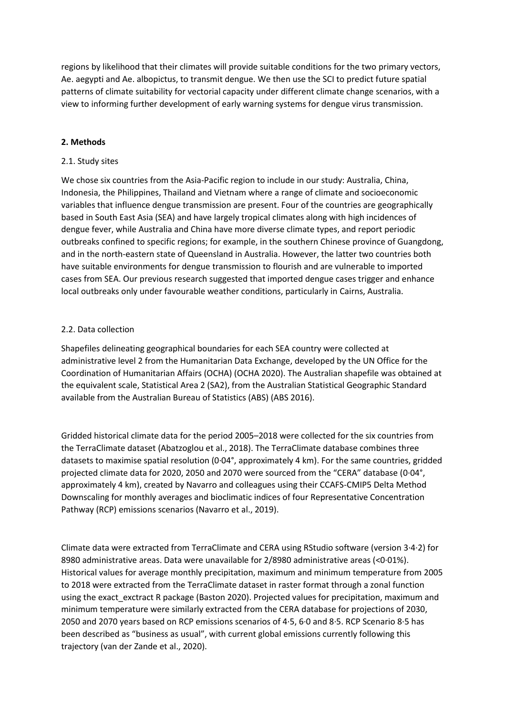regions by likelihood that their climates will provide suitable conditions for the two primary vectors, Ae. aegypti and Ae. albopictus, to transmit dengue. We then use the SCI to predict future spatial patterns of climate suitability for vectorial capacity under different climate change scenarios, with a view to informing further development of early warning systems for dengue virus transmission.

# **2. Methods**

# 2.1. Study sites

We chose six countries from the Asia-Pacific region to include in our study: Australia, China, Indonesia, the Philippines, Thailand and Vietnam where a range of climate and socioeconomic variables that influence dengue transmission are present. Four of the countries are geographically based in South East Asia (SEA) and have largely tropical climates along with high incidences of dengue fever, while Australia and China have more diverse climate types, and report periodic outbreaks confined to specific regions; for example, in the southern Chinese province of Guangdong, and in the north-eastern state of Queensland in Australia. However, the latter two countries both have suitable environments for dengue transmission to flourish and are vulnerable to imported cases from SEA. Our previous research suggested that imported dengue cases trigger and enhance local outbreaks only under favourable weather conditions, particularly in Cairns, Australia.

# 2.2. Data collection

Shapefiles delineating geographical boundaries for each SEA country were collected at administrative level 2 from the Humanitarian Data Exchange, developed by the UN Office for the Coordination of Humanitarian Affairs (OCHA) (OCHA 2020). The Australian shapefile was obtained at the equivalent scale, Statistical Area 2 (SA2), from the Australian Statistical Geographic Standard available from the Australian Bureau of Statistics (ABS) (ABS 2016).

Gridded historical climate data for the period 2005–2018 were collected for the six countries from the TerraClimate dataset (Abatzoglou et al., 2018). The TerraClimate database combines three datasets to maximise spatial resolution (0·04°, approximately 4 km). For the same countries, gridded projected climate data for 2020, 2050 and 2070 were sourced from the "CERA" database (0·04°, approximately 4 km), created by Navarro and colleagues using their CCAFS-CMIP5 Delta Method Downscaling for monthly averages and bioclimatic indices of four Representative Concentration Pathway (RCP) emissions scenarios (Navarro et al., 2019).

Climate data were extracted from TerraClimate and CERA using RStudio software (version 3·4·2) for 8980 administrative areas. Data were unavailable for 2/8980 administrative areas (<0·01%). Historical values for average monthly precipitation, maximum and minimum temperature from 2005 to 2018 were extracted from the TerraClimate dataset in raster format through a zonal function using the exact\_exctract R package (Baston 2020). Projected values for precipitation, maximum and minimum temperature were similarly extracted from the CERA database for projections of 2030, 2050 and 2070 years based on RCP emissions scenarios of 4·5, 6·0 and 8·5. RCP Scenario 8·5 has been described as "business as usual", with current global emissions currently following this trajectory (van der Zande et al., 2020).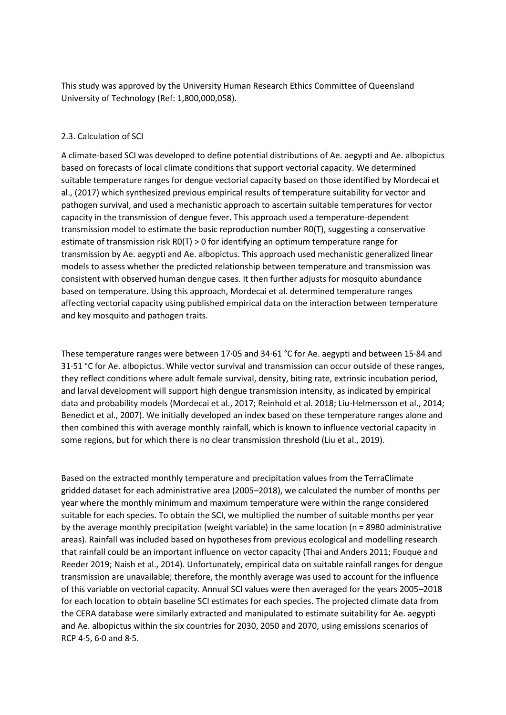This study was approved by the University Human Research Ethics Committee of Queensland University of Technology (Ref: 1,800,000,058).

# 2.3. Calculation of SCI

A climate-based SCI was developed to define potential distributions of Ae. aegypti and Ae. albopictus based on forecasts of local climate conditions that support vectorial capacity. We determined suitable temperature ranges for dengue vectorial capacity based on those identified by Mordecai et al., (2017) which synthesized previous empirical results of temperature suitability for vector and pathogen survival, and used a mechanistic approach to ascertain suitable temperatures for vector capacity in the transmission of dengue fever. This approach used a temperature-dependent transmission model to estimate the basic reproduction number R0(T), suggesting a conservative estimate of transmission risk R0(T) > 0 for identifying an optimum temperature range for transmission by Ae. aegypti and Ae. albopictus. This approach used mechanistic generalized linear models to assess whether the predicted relationship between temperature and transmission was consistent with observed human dengue cases. It then further adjusts for mosquito abundance based on temperature. Using this approach, Mordecai et al. determined temperature ranges affecting vectorial capacity using published empirical data on the interaction between temperature and key mosquito and pathogen traits.

These temperature ranges were between 17·05 and 34·61 °C for Ae. aegypti and between 15·84 and 31·51 °C for Ae. albopictus. While vector survival and transmission can occur outside of these ranges, they reflect conditions where adult female survival, density, biting rate, extrinsic incubation period, and larval development will support high dengue transmission intensity, as indicated by empirical data and probability models (Mordecai et al., 2017; Reinhold et al. 2018; Liu-Helmersson et al., 2014; Benedict et al., 2007). We initially developed an index based on these temperature ranges alone and then combined this with average monthly rainfall, which is known to influence vectorial capacity in some regions, but for which there is no clear transmission threshold (Liu et al., 2019).

Based on the extracted monthly temperature and precipitation values from the TerraClimate gridded dataset for each administrative area (2005–2018), we calculated the number of months per year where the monthly minimum and maximum temperature were within the range considered suitable for each species. To obtain the SCI, we multiplied the number of suitable months per year by the average monthly precipitation (weight variable) in the same location (n = 8980 administrative areas). Rainfall was included based on hypotheses from previous ecological and modelling research that rainfall could be an important influence on vector capacity (Thai and Anders 2011; Fouque and Reeder 2019; Naish et al., 2014). Unfortunately, empirical data on suitable rainfall ranges for dengue transmission are unavailable; therefore, the monthly average was used to account for the influence of this variable on vectorial capacity. Annual SCI values were then averaged for the years 2005–2018 for each location to obtain baseline SCI estimates for each species. The projected climate data from the CERA database were similarly extracted and manipulated to estimate suitability for Ae. aegypti and Ae. albopictus within the six countries for 2030, 2050 and 2070, using emissions scenarios of RCP 4·5, 6·0 and 8·5.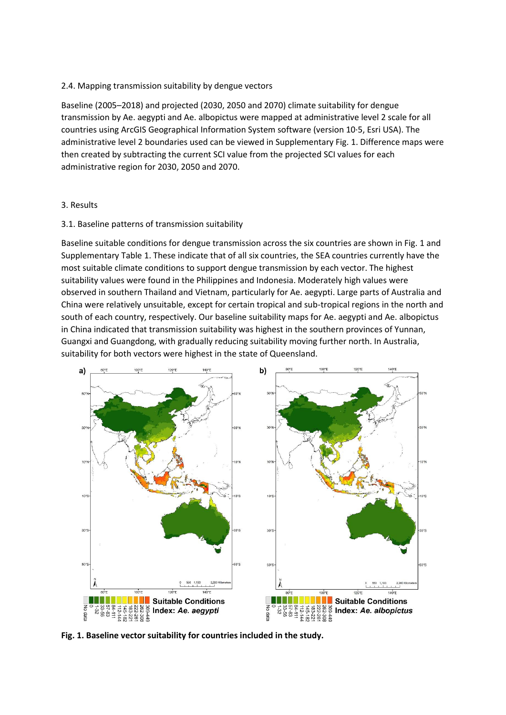# 2.4. Mapping transmission suitability by dengue vectors

Baseline (2005–2018) and projected (2030, 2050 and 2070) climate suitability for dengue transmission by Ae. aegypti and Ae. albopictus were mapped at administrative level 2 scale for all countries using ArcGIS Geographical Information System software (version 10·5, Esri USA). The administrative level 2 boundaries used can be viewed in Supplementary Fig. 1. Difference maps were then created by subtracting the current SCI value from the projected SCI values for each administrative region for 2030, 2050 and 2070.

# 3. Results

# 3.1. Baseline patterns of transmission suitability

Baseline suitable conditions for dengue transmission across the six countries are shown in Fig. 1 and Supplementary Table 1. These indicate that of all six countries, the SEA countries currently have the most suitable climate conditions to support dengue transmission by each vector. The highest suitability values were found in the Philippines and Indonesia. Moderately high values were observed in southern Thailand and Vietnam, particularly for Ae. aegypti. Large parts of Australia and China were relatively unsuitable, except for certain tropical and sub-tropical regions in the north and south of each country, respectively. Our baseline suitability maps for Ae. aegypti and Ae. albopictus in China indicated that transmission suitability was highest in the southern provinces of Yunnan, Guangxi and Guangdong, with gradually reducing suitability moving further north. In Australia, suitability for both vectors were highest in the state of Queensland.



**Fig. 1. Baseline vector suitability for countries included in the study.**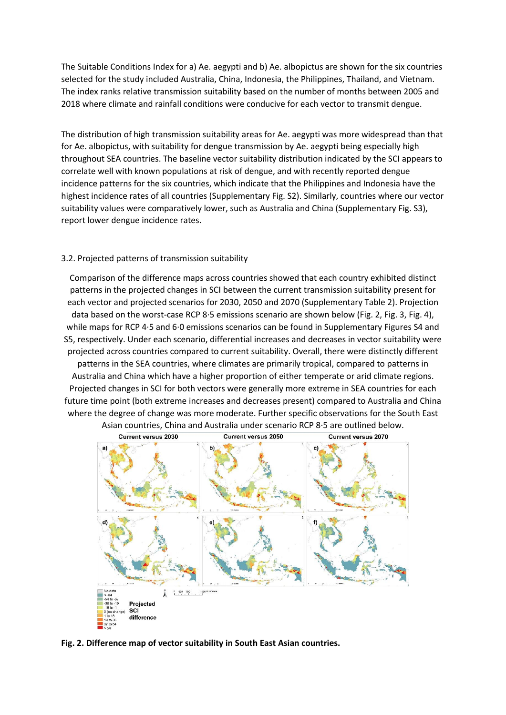The Suitable Conditions Index for a) Ae. aegypti and b) Ae. albopictus are shown for the six countries selected for the study included Australia, China, Indonesia, the Philippines, Thailand, and Vietnam. The index ranks relative transmission suitability based on the number of months between 2005 and 2018 where climate and rainfall conditions were conducive for each vector to transmit dengue.

The distribution of high transmission suitability areas for Ae. aegypti was more widespread than that for Ae. albopictus, with suitability for dengue transmission by Ae. aegypti being especially high throughout SEA countries. The baseline vector suitability distribution indicated by the SCI appears to correlate well with known populations at risk of dengue, and with recently reported dengue incidence patterns for the six countries, which indicate that the Philippines and Indonesia have the highest incidence rates of all countries (Supplementary Fig. S2). Similarly, countries where our vector suitability values were comparatively lower, such as Australia and China (Supplementary Fig. S3), report lower dengue incidence rates.

#### 3.2. Projected patterns of transmission suitability

Comparison of the difference maps across countries showed that each country exhibited distinct patterns in the projected changes in SCI between the current transmission suitability present for each vector and projected scenarios for 2030, 2050 and 2070 (Supplementary Table 2). Projection data based on the worst-case RCP 8·5 emissions scenario are shown below (Fig. 2, Fig. 3, Fig. 4), while maps for RCP 4·5 and 6·0 emissions scenarios can be found in Supplementary Figures S4 and S5, respectively. Under each scenario, differential increases and decreases in vector suitability were projected across countries compared to current suitability. Overall, there were distinctly different patterns in the SEA countries, where climates are primarily tropical, compared to patterns in Australia and China which have a higher proportion of either temperate or arid climate regions. Projected changes in SCI for both vectors were generally more extreme in SEA countries for each future time point (both extreme increases and decreases present) compared to Australia and China where the degree of change was more moderate. Further specific observations for the South East



**Fig. 2. Difference map of vector suitability in South East Asian countries.**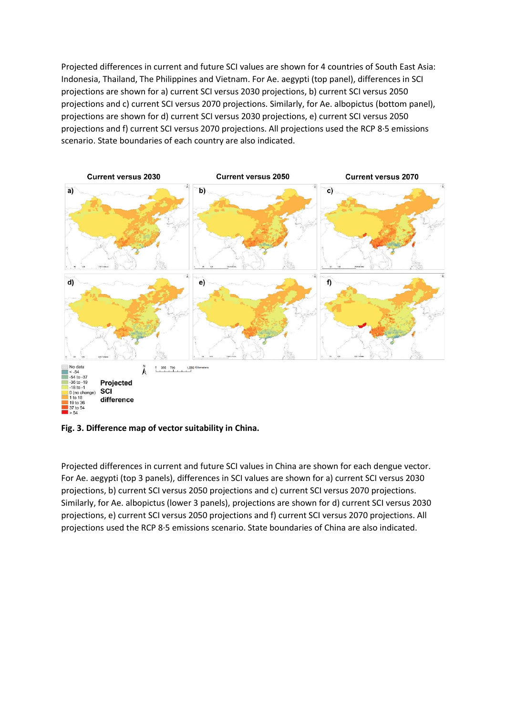Projected differences in current and future SCI values are shown for 4 countries of South East Asia: Indonesia, Thailand, The Philippines and Vietnam. For Ae. aegypti (top panel), differences in SCI projections are shown for a) current SCI versus 2030 projections, b) current SCI versus 2050 projections and c) current SCI versus 2070 projections. Similarly, for Ae. albopictus (bottom panel), projections are shown for d) current SCI versus 2030 projections, e) current SCI versus 2050 projections and f) current SCI versus 2070 projections. All projections used the RCP 8·5 emissions scenario. State boundaries of each country are also indicated.



**Fig. 3. Difference map of vector suitability in China.**

Projected differences in current and future SCI values in China are shown for each dengue vector. For Ae. aegypti (top 3 panels), differences in SCI values are shown for a) current SCI versus 2030 projections, b) current SCI versus 2050 projections and c) current SCI versus 2070 projections. Similarly, for Ae. albopictus (lower 3 panels), projections are shown for d) current SCI versus 2030 projections, e) current SCI versus 2050 projections and f) current SCI versus 2070 projections. All projections used the RCP 8·5 emissions scenario. State boundaries of China are also indicated.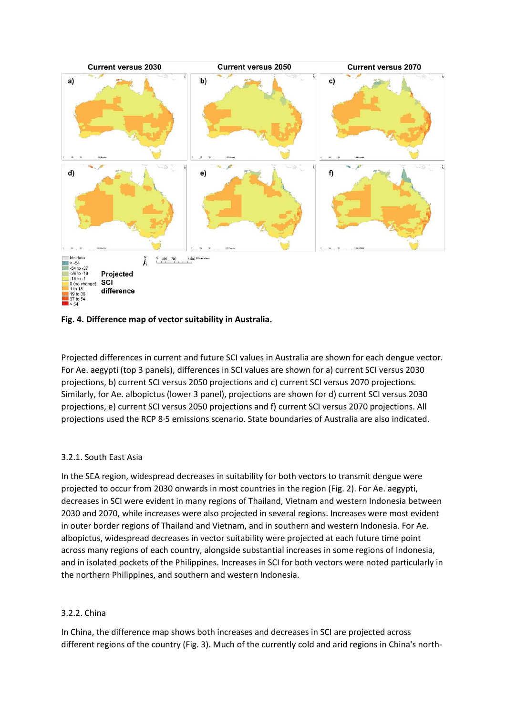

# **Fig. 4. Difference map of vector suitability in Australia.**

Projected differences in current and future SCI values in Australia are shown for each dengue vector. For Ae. aegypti (top 3 panels), differences in SCI values are shown for a) current SCI versus 2030 projections, b) current SCI versus 2050 projections and c) current SCI versus 2070 projections. Similarly, for Ae. albopictus (lower 3 panel), projections are shown for d) current SCI versus 2030 projections, e) current SCI versus 2050 projections and f) current SCI versus 2070 projections. All projections used the RCP 8·5 emissions scenario. State boundaries of Australia are also indicated.

# 3.2.1. South East Asia

In the SEA region, widespread decreases in suitability for both vectors to transmit dengue were projected to occur from 2030 onwards in most countries in the region (Fig. 2). For Ae. aegypti, decreases in SCI were evident in many regions of Thailand, Vietnam and western Indonesia between 2030 and 2070, while increases were also projected in several regions. Increases were most evident in outer border regions of Thailand and Vietnam, and in southern and western Indonesia. For Ae. albopictus, widespread decreases in vector suitability were projected at each future time point across many regions of each country, alongside substantial increases in some regions of Indonesia, and in isolated pockets of the Philippines. Increases in SCI for both vectors were noted particularly in the northern Philippines, and southern and western Indonesia.

# 3.2.2. China

In China, the difference map shows both increases and decreases in SCI are projected across different regions of the country (Fig. 3). Much of the currently cold and arid regions in China's north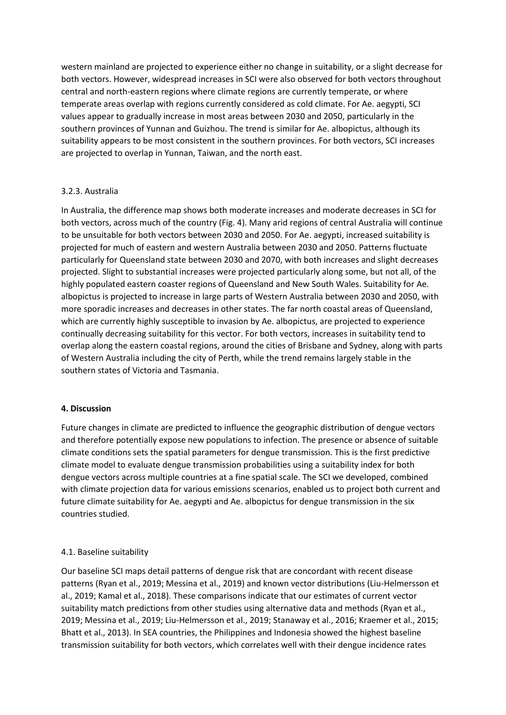western mainland are projected to experience either no change in suitability, or a slight decrease for both vectors. However, widespread increases in SCI were also observed for both vectors throughout central and north-eastern regions where climate regions are currently temperate, or where temperate areas overlap with regions currently considered as cold climate. For Ae. aegypti, SCI values appear to gradually increase in most areas between 2030 and 2050, particularly in the southern provinces of Yunnan and Guizhou. The trend is similar for Ae. albopictus, although its suitability appears to be most consistent in the southern provinces. For both vectors, SCI increases are projected to overlap in Yunnan, Taiwan, and the north east.

# 3.2.3. Australia

In Australia, the difference map shows both moderate increases and moderate decreases in SCI for both vectors, across much of the country (Fig. 4). Many arid regions of central Australia will continue to be unsuitable for both vectors between 2030 and 2050. For Ae. aegypti, increased suitability is projected for much of eastern and western Australia between 2030 and 2050. Patterns fluctuate particularly for Queensland state between 2030 and 2070, with both increases and slight decreases projected. Slight to substantial increases were projected particularly along some, but not all, of the highly populated eastern coaster regions of Queensland and New South Wales. Suitability for Ae. albopictus is projected to increase in large parts of Western Australia between 2030 and 2050, with more sporadic increases and decreases in other states. The far north coastal areas of Queensland, which are currently highly susceptible to invasion by Ae. albopictus, are projected to experience continually decreasing suitability for this vector. For both vectors, increases in suitability tend to overlap along the eastern coastal regions, around the cities of Brisbane and Sydney, along with parts of Western Australia including the city of Perth, while the trend remains largely stable in the southern states of Victoria and Tasmania.

# **4. Discussion**

Future changes in climate are predicted to influence the geographic distribution of dengue vectors and therefore potentially expose new populations to infection. The presence or absence of suitable climate conditions sets the spatial parameters for dengue transmission. This is the first predictive climate model to evaluate dengue transmission probabilities using a suitability index for both dengue vectors across multiple countries at a fine spatial scale. The SCI we developed, combined with climate projection data for various emissions scenarios, enabled us to project both current and future climate suitability for Ae. aegypti and Ae. albopictus for dengue transmission in the six countries studied.

# 4.1. Baseline suitability

Our baseline SCI maps detail patterns of dengue risk that are concordant with recent disease patterns (Ryan et al., 2019; Messina et al., 2019) and known vector distributions (Liu-Helmersson et al., 2019; Kamal et al., 2018). These comparisons indicate that our estimates of current vector suitability match predictions from other studies using alternative data and methods (Ryan et al., 2019; Messina et al., 2019; Liu-Helmersson et al., 2019; Stanaway et al., 2016; Kraemer et al., 2015; Bhatt et al., 2013). In SEA countries, the Philippines and Indonesia showed the highest baseline transmission suitability for both vectors, which correlates well with their dengue incidence rates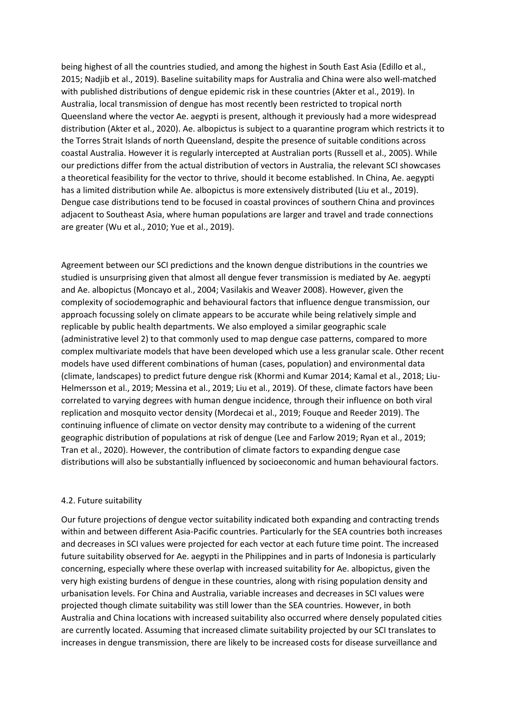being highest of all the countries studied, and among the highest in South East Asia (Edillo et al., 2015; Nadjib et al., 2019). Baseline suitability maps for Australia and China were also well-matched with published distributions of dengue epidemic risk in these countries (Akter et al., 2019). In Australia, local transmission of dengue has most recently been restricted to tropical north Queensland where the vector Ae. aegypti is present, although it previously had a more widespread distribution (Akter et al., 2020). Ae. albopictus is subject to a quarantine program which restricts it to the Torres Strait Islands of north Queensland, despite the presence of suitable conditions across coastal Australia. However it is regularly intercepted at Australian ports (Russell et al., 2005). While our predictions differ from the actual distribution of vectors in Australia, the relevant SCI showcases a theoretical feasibility for the vector to thrive, should it become established. In China, Ae. aegypti has a limited distribution while Ae. albopictus is more extensively distributed (Liu et al., 2019). Dengue case distributions tend to be focused in coastal provinces of southern China and provinces adjacent to Southeast Asia, where human populations are larger and travel and trade connections are greater (Wu et al., 2010; Yue et al., 2019).

Agreement between our SCI predictions and the known dengue distributions in the countries we studied is unsurprising given that almost all dengue fever transmission is mediated by Ae. aegypti and Ae. albopictus (Moncayo et al., 2004; Vasilakis and Weaver 2008). However, given the complexity of sociodemographic and behavioural factors that influence dengue transmission, our approach focussing solely on climate appears to be accurate while being relatively simple and replicable by public health departments. We also employed a similar geographic scale (administrative level 2) to that commonly used to map dengue case patterns, compared to more complex multivariate models that have been developed which use a less granular scale. Other recent models have used different combinations of human (cases, population) and environmental data (climate, landscapes) to predict future dengue risk (Khormi and Kumar 2014; Kamal et al., 2018; Liu-Helmersson et al., 2019; Messina et al., 2019; Liu et al., 2019). Of these, climate factors have been correlated to varying degrees with human dengue incidence, through their influence on both viral replication and mosquito vector density (Mordecai et al., 2019; Fouque and Reeder 2019). The continuing influence of climate on vector density may contribute to a widening of the current geographic distribution of populations at risk of dengue (Lee and Farlow 2019; Ryan et al., 2019; Tran et al., 2020). However, the contribution of climate factors to expanding dengue case distributions will also be substantially influenced by socioeconomic and human behavioural factors.

# 4.2. Future suitability

Our future projections of dengue vector suitability indicated both expanding and contracting trends within and between different Asia-Pacific countries. Particularly for the SEA countries both increases and decreases in SCI values were projected for each vector at each future time point. The increased future suitability observed for Ae. aegypti in the Philippines and in parts of Indonesia is particularly concerning, especially where these overlap with increased suitability for Ae. albopictus, given the very high existing burdens of dengue in these countries, along with rising population density and urbanisation levels. For China and Australia, variable increases and decreases in SCI values were projected though climate suitability was still lower than the SEA countries. However, in both Australia and China locations with increased suitability also occurred where densely populated cities are currently located. Assuming that increased climate suitability projected by our SCI translates to increases in dengue transmission, there are likely to be increased costs for disease surveillance and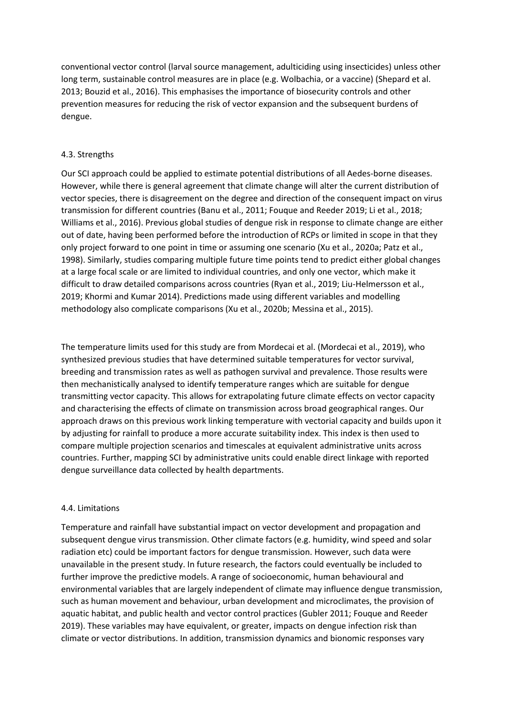conventional vector control (larval source management, adulticiding using insecticides) unless other long term, sustainable control measures are in place (e.g. Wolbachia, or a vaccine) (Shepard et al. 2013; Bouzid et al., 2016). This emphasises the importance of biosecurity controls and other prevention measures for reducing the risk of vector expansion and the subsequent burdens of dengue.

# 4.3. Strengths

Our SCI approach could be applied to estimate potential distributions of all Aedes-borne diseases. However, while there is general agreement that climate change will alter the current distribution of vector species, there is disagreement on the degree and direction of the consequent impact on virus transmission for different countries (Banu et al., 2011; Fouque and Reeder 2019; Li et al., 2018; Williams et al., 2016). Previous global studies of dengue risk in response to climate change are either out of date, having been performed before the introduction of RCPs or limited in scope in that they only project forward to one point in time or assuming one scenario (Xu et al., 2020a; Patz et al., 1998). Similarly, studies comparing multiple future time points tend to predict either global changes at a large focal scale or are limited to individual countries, and only one vector, which make it difficult to draw detailed comparisons across countries (Ryan et al., 2019; Liu-Helmersson et al., 2019; Khormi and Kumar 2014). Predictions made using different variables and modelling methodology also complicate comparisons (Xu et al., 2020b; Messina et al., 2015).

The temperature limits used for this study are from Mordecai et al. (Mordecai et al., 2019), who synthesized previous studies that have determined suitable temperatures for vector survival, breeding and transmission rates as well as pathogen survival and prevalence. Those results were then mechanistically analysed to identify temperature ranges which are suitable for dengue transmitting vector capacity. This allows for extrapolating future climate effects on vector capacity and characterising the effects of climate on transmission across broad geographical ranges. Our approach draws on this previous work linking temperature with vectorial capacity and builds upon it by adjusting for rainfall to produce a more accurate suitability index. This index is then used to compare multiple projection scenarios and timescales at equivalent administrative units across countries. Further, mapping SCI by administrative units could enable direct linkage with reported dengue surveillance data collected by health departments.

# 4.4. Limitations

Temperature and rainfall have substantial impact on vector development and propagation and subsequent dengue virus transmission. Other climate factors (e.g. humidity, wind speed and solar radiation etc) could be important factors for dengue transmission. However, such data were unavailable in the present study. In future research, the factors could eventually be included to further improve the predictive models. A range of socioeconomic, human behavioural and environmental variables that are largely independent of climate may influence dengue transmission, such as human movement and behaviour, urban development and microclimates, the provision of aquatic habitat, and public health and vector control practices (Gubler 2011; Fouque and Reeder 2019). These variables may have equivalent, or greater, impacts on dengue infection risk than climate or vector distributions. In addition, transmission dynamics and bionomic responses vary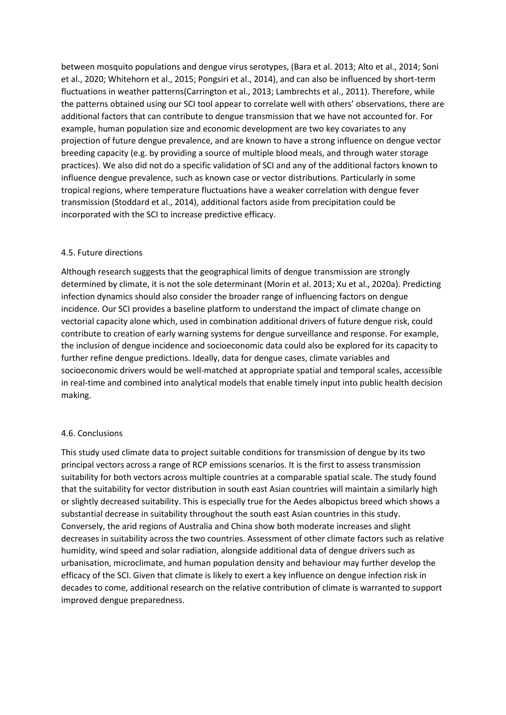between mosquito populations and dengue virus serotypes, (Bara et al. 2013; Alto et al., 2014; Soni et al., 2020; Whitehorn et al., 2015; Pongsiri et al., 2014), and can also be influenced by short-term fluctuations in weather patterns(Carrington et al., 2013; Lambrechts et al., 2011). Therefore, while the patterns obtained using our SCI tool appear to correlate well with others' observations, there are additional factors that can contribute to dengue transmission that we have not accounted for. For example, human population size and economic development are two key covariates to any projection of future dengue prevalence, and are known to have a strong influence on dengue vector breeding capacity (e.g. by providing a source of multiple blood meals, and through water storage practices). We also did not do a specific validation of SCI and any of the additional factors known to influence dengue prevalence, such as known case or vector distributions. Particularly in some tropical regions, where temperature fluctuations have a weaker correlation with dengue fever transmission (Stoddard et al., 2014), additional factors aside from precipitation could be incorporated with the SCI to increase predictive efficacy.

# 4.5. Future directions

Although research suggests that the geographical limits of dengue transmission are strongly determined by climate, it is not the sole determinant (Morin et al. 2013; Xu et al., 2020a). Predicting infection dynamics should also consider the broader range of influencing factors on dengue incidence. Our SCI provides a baseline platform to understand the impact of climate change on vectorial capacity alone which, used in combination additional drivers of future dengue risk, could contribute to creation of early warning systems for dengue surveillance and response. For example, the inclusion of dengue incidence and socioeconomic data could also be explored for its capacity to further refine dengue predictions. Ideally, data for dengue cases, climate variables and socioeconomic drivers would be well-matched at appropriate spatial and temporal scales, accessible in real-time and combined into analytical models that enable timely input into public health decision making.

# 4.6. Conclusions

This study used climate data to project suitable conditions for transmission of dengue by its two principal vectors across a range of RCP emissions scenarios. It is the first to assess transmission suitability for both vectors across multiple countries at a comparable spatial scale. The study found that the suitability for vector distribution in south east Asian countries will maintain a similarly high or slightly decreased suitability. This is especially true for the Aedes albopictus breed which shows a substantial decrease in suitability throughout the south east Asian countries in this study. Conversely, the arid regions of Australia and China show both moderate increases and slight decreases in suitability across the two countries. Assessment of other climate factors such as relative humidity, wind speed and solar radiation, alongside additional data of dengue drivers such as urbanisation, microclimate, and human population density and behaviour may further develop the efficacy of the SCI. Given that climate is likely to exert a key influence on dengue infection risk in decades to come, additional research on the relative contribution of climate is warranted to support improved dengue preparedness.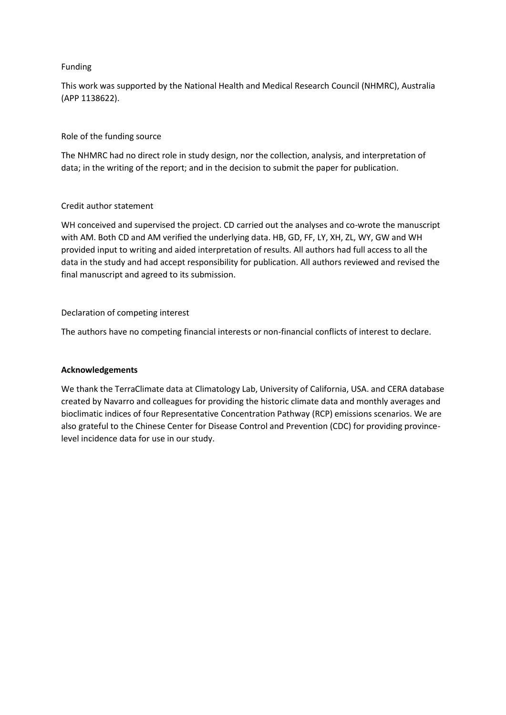# Funding

This work was supported by the National Health and Medical Research Council (NHMRC), Australia (APP 1138622).

# Role of the funding source

The NHMRC had no direct role in study design, nor the collection, analysis, and interpretation of data; in the writing of the report; and in the decision to submit the paper for publication.

# Credit author statement

WH conceived and supervised the project. CD carried out the analyses and co-wrote the manuscript with AM. Both CD and AM verified the underlying data. HB, GD, FF, LY, XH, ZL, WY, GW and WH provided input to writing and aided interpretation of results. All authors had full access to all the data in the study and had accept responsibility for publication. All authors reviewed and revised the final manuscript and agreed to its submission.

# Declaration of competing interest

The authors have no competing financial interests or non-financial conflicts of interest to declare.

# **Acknowledgements**

We thank the TerraClimate data at Climatology Lab, University of California, USA. and CERA database created by Navarro and colleagues for providing the historic climate data and monthly averages and bioclimatic indices of four Representative Concentration Pathway (RCP) emissions scenarios. We are also grateful to the Chinese Center for Disease Control and Prevention (CDC) for providing provincelevel incidence data for use in our study.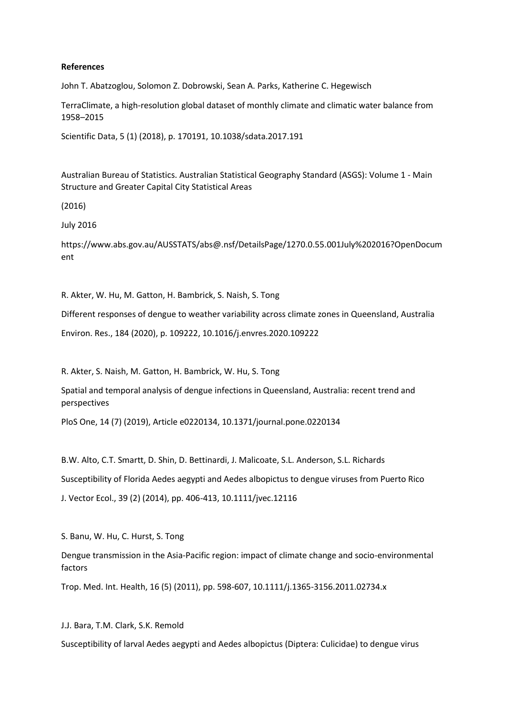#### **References**

John T. Abatzoglou, Solomon Z. Dobrowski, Sean A. Parks, Katherine C. Hegewisch

TerraClimate, a high-resolution global dataset of monthly climate and climatic water balance from 1958–2015

Scientific Data, 5 (1) (2018), p. 170191, 10.1038/sdata.2017.191

Australian Bureau of Statistics. Australian Statistical Geography Standard (ASGS): Volume 1 - Main Structure and Greater Capital City Statistical Areas

(2016)

July 2016

https://www.abs.gov.au/AUSSTATS/abs@.nsf/DetailsPage/1270.0.55.001July%202016?OpenDocum ent

R. Akter, W. Hu, M. Gatton, H. Bambrick, S. Naish, S. Tong

Different responses of dengue to weather variability across climate zones in Queensland, Australia

Environ. Res., 184 (2020), p. 109222, 10.1016/j.envres.2020.109222

R. Akter, S. Naish, M. Gatton, H. Bambrick, W. Hu, S. Tong

Spatial and temporal analysis of dengue infections in Queensland, Australia: recent trend and perspectives

PloS One, 14 (7) (2019), Article e0220134, 10.1371/journal.pone.0220134

B.W. Alto, C.T. Smartt, D. Shin, D. Bettinardi, J. Malicoate, S.L. Anderson, S.L. Richards

Susceptibility of Florida Aedes aegypti and Aedes albopictus to dengue viruses from Puerto Rico

J. Vector Ecol., 39 (2) (2014), pp. 406-413, 10.1111/jvec.12116

S. Banu, W. Hu, C. Hurst, S. Tong

Dengue transmission in the Asia-Pacific region: impact of climate change and socio-environmental factors

Trop. Med. Int. Health, 16 (5) (2011), pp. 598-607, 10.1111/j.1365-3156.2011.02734.x

J.J. Bara, T.M. Clark, S.K. Remold

Susceptibility of larval Aedes aegypti and Aedes albopictus (Diptera: Culicidae) to dengue virus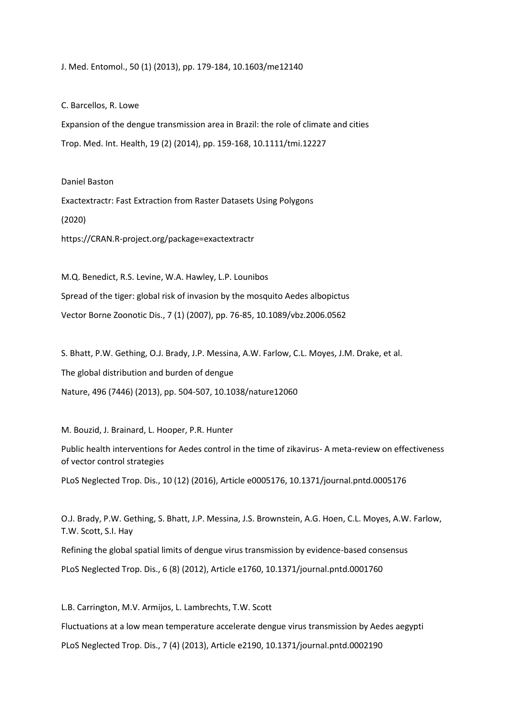J. Med. Entomol., 50 (1) (2013), pp. 179-184, 10.1603/me12140

C. Barcellos, R. Lowe

Expansion of the dengue transmission area in Brazil: the role of climate and cities Trop. Med. Int. Health, 19 (2) (2014), pp. 159-168, 10.1111/tmi.12227

Daniel Baston Exactextractr: Fast Extraction from Raster Datasets Using Polygons (2020) https://CRAN.R-project.org/package=exactextractr

M.Q. Benedict, R.S. Levine, W.A. Hawley, L.P. Lounibos Spread of the tiger: global risk of invasion by the mosquito Aedes albopictus Vector Borne Zoonotic Dis., 7 (1) (2007), pp. 76-85, 10.1089/vbz.2006.0562

S. Bhatt, P.W. Gething, O.J. Brady, J.P. Messina, A.W. Farlow, C.L. Moyes, J.M. Drake, et al. The global distribution and burden of dengue Nature, 496 (7446) (2013), pp. 504-507, 10.1038/nature12060

M. Bouzid, J. Brainard, L. Hooper, P.R. Hunter

Public health interventions for Aedes control in the time of zikavirus- A meta-review on effectiveness of vector control strategies

PLoS Neglected Trop. Dis., 10 (12) (2016), Article e0005176, 10.1371/journal.pntd.0005176

O.J. Brady, P.W. Gething, S. Bhatt, J.P. Messina, J.S. Brownstein, A.G. Hoen, C.L. Moyes, A.W. Farlow, T.W. Scott, S.I. Hay Refining the global spatial limits of dengue virus transmission by evidence-based consensus PLoS Neglected Trop. Dis., 6 (8) (2012), Article e1760, 10.1371/journal.pntd.0001760

L.B. Carrington, M.V. Armijos, L. Lambrechts, T.W. Scott Fluctuations at a low mean temperature accelerate dengue virus transmission by Aedes aegypti PLoS Neglected Trop. Dis., 7 (4) (2013), Article e2190, 10.1371/journal.pntd.0002190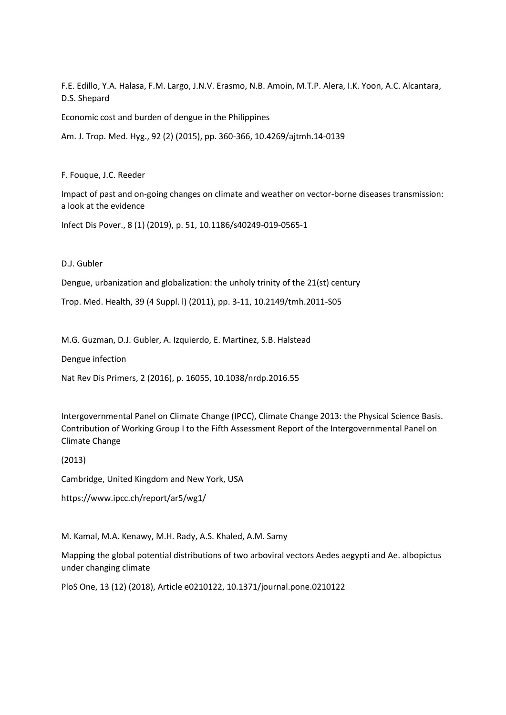F.E. Edillo, Y.A. Halasa, F.M. Largo, J.N.V. Erasmo, N.B. Amoin, M.T.P. Alera, I.K. Yoon, A.C. Alcantara, D.S. Shepard

Economic cost and burden of dengue in the Philippines

Am. J. Trop. Med. Hyg., 92 (2) (2015), pp. 360-366, 10.4269/ajtmh.14-0139

F. Fouque, J.C. Reeder

Impact of past and on-going changes on climate and weather on vector-borne diseases transmission: a look at the evidence

Infect Dis Pover., 8 (1) (2019), p. 51, 10.1186/s40249-019-0565-1

D.J. Gubler

Dengue, urbanization and globalization: the unholy trinity of the 21(st) century

Trop. Med. Health, 39 (4 Suppl. l) (2011), pp. 3-11, 10.2149/tmh.2011-S05

M.G. Guzman, D.J. Gubler, A. Izquierdo, E. Martinez, S.B. Halstead

Dengue infection

Nat Rev Dis Primers, 2 (2016), p. 16055, 10.1038/nrdp.2016.55

Intergovernmental Panel on Climate Change (IPCC), Climate Change 2013: the Physical Science Basis. Contribution of Working Group I to the Fifth Assessment Report of the Intergovernmental Panel on Climate Change

(2013)

Cambridge, United Kingdom and New York, USA

https://www.ipcc.ch/report/ar5/wg1/

M. Kamal, M.A. Kenawy, M.H. Rady, A.S. Khaled, A.M. Samy

Mapping the global potential distributions of two arboviral vectors Aedes aegypti and Ae. albopictus under changing climate

PloS One, 13 (12) (2018), Article e0210122, 10.1371/journal.pone.0210122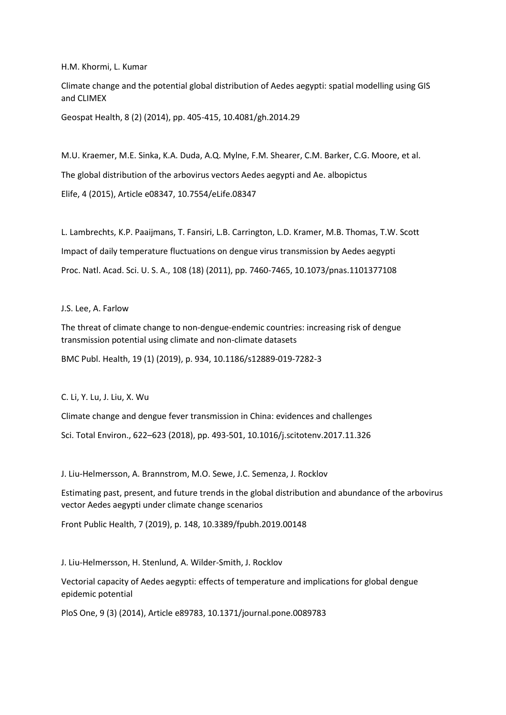H.M. Khormi, L. Kumar

Climate change and the potential global distribution of Aedes aegypti: spatial modelling using GIS and CLIMEX

Geospat Health, 8 (2) (2014), pp. 405-415, 10.4081/gh.2014.29

M.U. Kraemer, M.E. Sinka, K.A. Duda, A.Q. Mylne, F.M. Shearer, C.M. Barker, C.G. Moore, et al. The global distribution of the arbovirus vectors Aedes aegypti and Ae. albopictus Elife, 4 (2015), Article e08347, 10.7554/eLife.08347

L. Lambrechts, K.P. Paaijmans, T. Fansiri, L.B. Carrington, L.D. Kramer, M.B. Thomas, T.W. Scott Impact of daily temperature fluctuations on dengue virus transmission by Aedes aegypti Proc. Natl. Acad. Sci. U. S. A., 108 (18) (2011), pp. 7460-7465, 10.1073/pnas.1101377108

#### J.S. Lee, A. Farlow

The threat of climate change to non-dengue-endemic countries: increasing risk of dengue transmission potential using climate and non-climate datasets

BMC Publ. Health, 19 (1) (2019), p. 934, 10.1186/s12889-019-7282-3

C. Li, Y. Lu, J. Liu, X. Wu

Climate change and dengue fever transmission in China: evidences and challenges Sci. Total Environ., 622–623 (2018), pp. 493-501, 10.1016/j.scitotenv.2017.11.326

J. Liu-Helmersson, A. Brannstrom, M.O. Sewe, J.C. Semenza, J. Rocklov

Estimating past, present, and future trends in the global distribution and abundance of the arbovirus vector Aedes aegypti under climate change scenarios

Front Public Health, 7 (2019), p. 148, 10.3389/fpubh.2019.00148

J. Liu-Helmersson, H. Stenlund, A. Wilder-Smith, J. Rocklov

Vectorial capacity of Aedes aegypti: effects of temperature and implications for global dengue epidemic potential

PloS One, 9 (3) (2014), Article e89783, 10.1371/journal.pone.0089783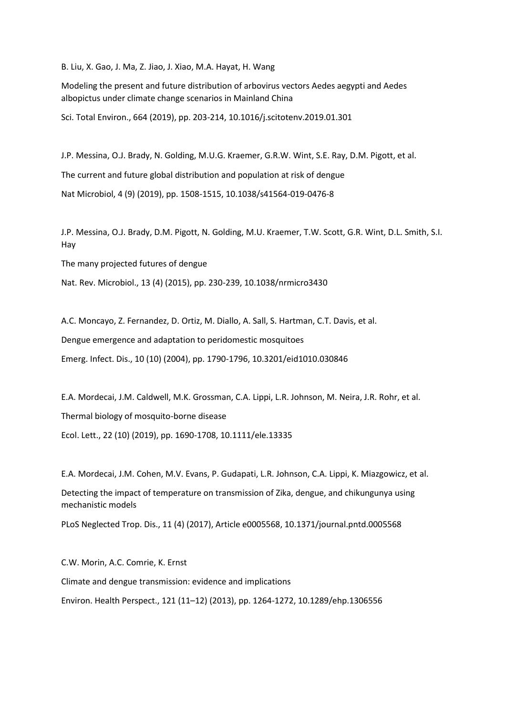B. Liu, X. Gao, J. Ma, Z. Jiao, J. Xiao, M.A. Hayat, H. Wang

Modeling the present and future distribution of arbovirus vectors Aedes aegypti and Aedes albopictus under climate change scenarios in Mainland China

Sci. Total Environ., 664 (2019), pp. 203-214, 10.1016/j.scitotenv.2019.01.301

J.P. Messina, O.J. Brady, N. Golding, M.U.G. Kraemer, G.R.W. Wint, S.E. Ray, D.M. Pigott, et al. The current and future global distribution and population at risk of dengue Nat Microbiol, 4 (9) (2019), pp. 1508-1515, 10.1038/s41564-019-0476-8

J.P. Messina, O.J. Brady, D.M. Pigott, N. Golding, M.U. Kraemer, T.W. Scott, G.R. Wint, D.L. Smith, S.I. Hay

The many projected futures of dengue

Nat. Rev. Microbiol., 13 (4) (2015), pp. 230-239, 10.1038/nrmicro3430

A.C. Moncayo, Z. Fernandez, D. Ortiz, M. Diallo, A. Sall, S. Hartman, C.T. Davis, et al. Dengue emergence and adaptation to peridomestic mosquitoes Emerg. Infect. Dis., 10 (10) (2004), pp. 1790-1796, 10.3201/eid1010.030846

E.A. Mordecai, J.M. Caldwell, M.K. Grossman, C.A. Lippi, L.R. Johnson, M. Neira, J.R. Rohr, et al. Thermal biology of mosquito-borne disease Ecol. Lett., 22 (10) (2019), pp. 1690-1708, 10.1111/ele.13335

E.A. Mordecai, J.M. Cohen, M.V. Evans, P. Gudapati, L.R. Johnson, C.A. Lippi, K. Miazgowicz, et al.

Detecting the impact of temperature on transmission of Zika, dengue, and chikungunya using mechanistic models

PLoS Neglected Trop. Dis., 11 (4) (2017), Article e0005568, 10.1371/journal.pntd.0005568

C.W. Morin, A.C. Comrie, K. Ernst Climate and dengue transmission: evidence and implications Environ. Health Perspect., 121 (11–12) (2013), pp. 1264-1272, 10.1289/ehp.1306556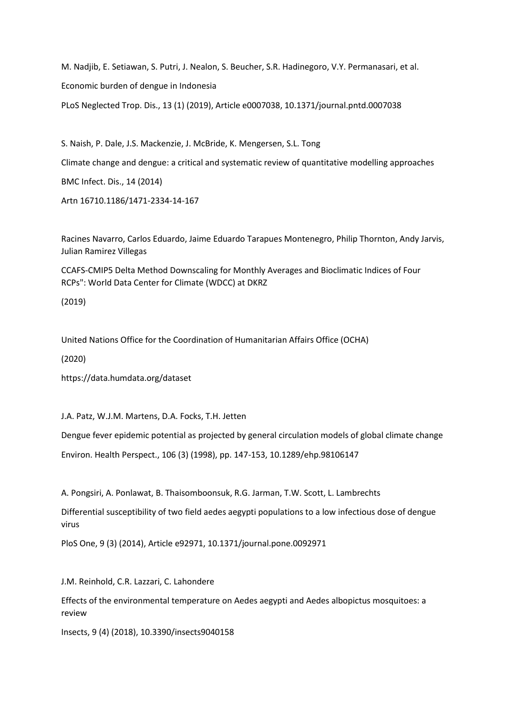M. Nadjib, E. Setiawan, S. Putri, J. Nealon, S. Beucher, S.R. Hadinegoro, V.Y. Permanasari, et al. Economic burden of dengue in Indonesia PLoS Neglected Trop. Dis., 13 (1) (2019), Article e0007038, 10.1371/journal.pntd.0007038

S. Naish, P. Dale, J.S. Mackenzie, J. McBride, K. Mengersen, S.L. Tong Climate change and dengue: a critical and systematic review of quantitative modelling approaches BMC Infect. Dis., 14 (2014) Artn 16710.1186/1471-2334-14-167

Racines Navarro, Carlos Eduardo, Jaime Eduardo Tarapues Montenegro, Philip Thornton, Andy Jarvis, Julian Ramirez Villegas

CCAFS-CMIP5 Delta Method Downscaling for Monthly Averages and Bioclimatic Indices of Four RCPs": World Data Center for Climate (WDCC) at DKRZ

(2019)

United Nations Office for the Coordination of Humanitarian Affairs Office (OCHA)

(2020)

https://data.humdata.org/dataset

J.A. Patz, W.J.M. Martens, D.A. Focks, T.H. Jetten

Dengue fever epidemic potential as projected by general circulation models of global climate change Environ. Health Perspect., 106 (3) (1998), pp. 147-153, 10.1289/ehp.98106147

A. Pongsiri, A. Ponlawat, B. Thaisomboonsuk, R.G. Jarman, T.W. Scott, L. Lambrechts

Differential susceptibility of two field aedes aegypti populations to a low infectious dose of dengue virus

PloS One, 9 (3) (2014), Article e92971, 10.1371/journal.pone.0092971

J.M. Reinhold, C.R. Lazzari, C. Lahondere

Effects of the environmental temperature on Aedes aegypti and Aedes albopictus mosquitoes: a review

Insects, 9 (4) (2018), 10.3390/insects9040158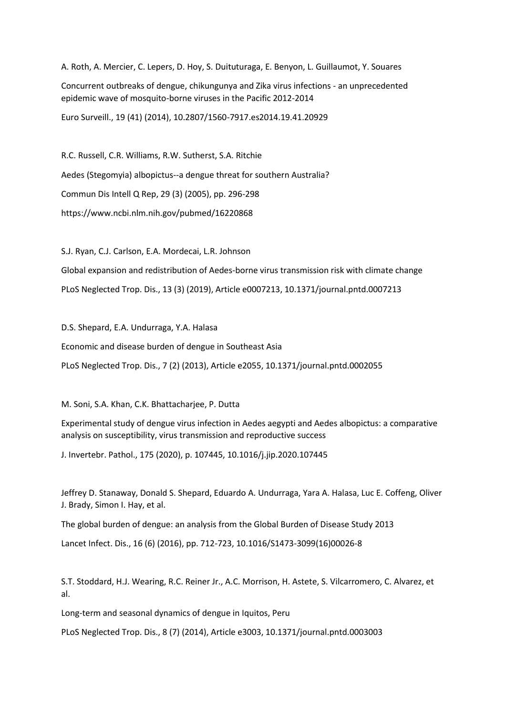A. Roth, A. Mercier, C. Lepers, D. Hoy, S. Duituturaga, E. Benyon, L. Guillaumot, Y. Souares

Concurrent outbreaks of dengue, chikungunya and Zika virus infections - an unprecedented epidemic wave of mosquito-borne viruses in the Pacific 2012-2014

Euro Surveill., 19 (41) (2014), 10.2807/1560-7917.es2014.19.41.20929

R.C. Russell, C.R. Williams, R.W. Sutherst, S.A. Ritchie Aedes (Stegomyia) albopictus--a dengue threat for southern Australia? Commun Dis Intell Q Rep, 29 (3) (2005), pp. 296-298 https://www.ncbi.nlm.nih.gov/pubmed/16220868

S.J. Ryan, C.J. Carlson, E.A. Mordecai, L.R. Johnson

Global expansion and redistribution of Aedes-borne virus transmission risk with climate change PLoS Neglected Trop. Dis., 13 (3) (2019), Article e0007213, 10.1371/journal.pntd.0007213

D.S. Shepard, E.A. Undurraga, Y.A. Halasa

Economic and disease burden of dengue in Southeast Asia

PLoS Neglected Trop. Dis., 7 (2) (2013), Article e2055, 10.1371/journal.pntd.0002055

M. Soni, S.A. Khan, C.K. Bhattacharjee, P. Dutta

Experimental study of dengue virus infection in Aedes aegypti and Aedes albopictus: a comparative analysis on susceptibility, virus transmission and reproductive success

J. Invertebr. Pathol., 175 (2020), p. 107445, 10.1016/j.jip.2020.107445

Jeffrey D. Stanaway, Donald S. Shepard, Eduardo A. Undurraga, Yara A. Halasa, Luc E. Coffeng, Oliver J. Brady, Simon I. Hay, et al.

The global burden of dengue: an analysis from the Global Burden of Disease Study 2013

Lancet Infect. Dis., 16 (6) (2016), pp. 712-723, 10.1016/S1473-3099(16)00026-8

S.T. Stoddard, H.J. Wearing, R.C. Reiner Jr., A.C. Morrison, H. Astete, S. Vilcarromero, C. Alvarez, et al.

Long-term and seasonal dynamics of dengue in Iquitos, Peru

PLoS Neglected Trop. Dis., 8 (7) (2014), Article e3003, 10.1371/journal.pntd.0003003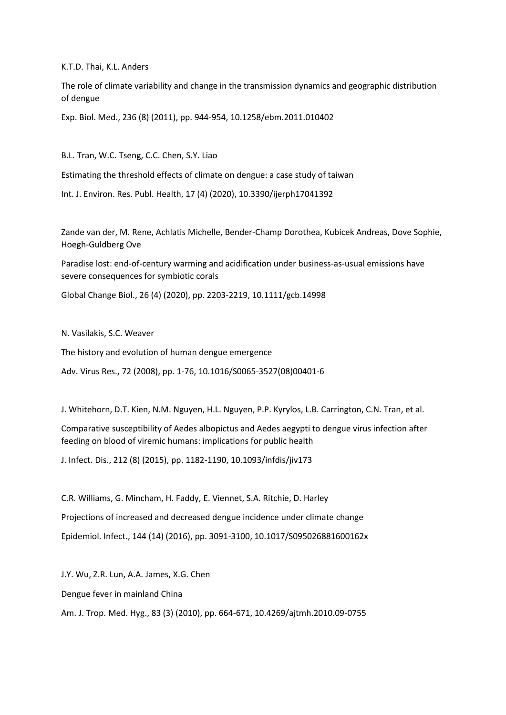K.T.D. Thai, K.L. Anders

The role of climate variability and change in the transmission dynamics and geographic distribution of dengue

Exp. Biol. Med., 236 (8) (2011), pp. 944-954, 10.1258/ebm.2011.010402

B.L. Tran, W.C. Tseng, C.C. Chen, S.Y. Liao

Estimating the threshold effects of climate on dengue: a case study of taiwan

Int. J. Environ. Res. Publ. Health, 17 (4) (2020), 10.3390/ijerph17041392

Zande van der, M. Rene, Achlatis Michelle, Bender-Champ Dorothea, Kubicek Andreas, Dove Sophie, Hoegh-Guldberg Ove

Paradise lost: end-of-century warming and acidification under business-as-usual emissions have severe consequences for symbiotic corals

Global Change Biol., 26 (4) (2020), pp. 2203-2219, 10.1111/gcb.14998

N. Vasilakis, S.C. Weaver

The history and evolution of human dengue emergence

Adv. Virus Res., 72 (2008), pp. 1-76, 10.1016/S0065-3527(08)00401-6

J. Whitehorn, D.T. Kien, N.M. Nguyen, H.L. Nguyen, P.P. Kyrylos, L.B. Carrington, C.N. Tran, et al.

Comparative susceptibility of Aedes albopictus and Aedes aegypti to dengue virus infection after feeding on blood of viremic humans: implications for public health

J. Infect. Dis., 212 (8) (2015), pp. 1182-1190, 10.1093/infdis/jiv173

C.R. Williams, G. Mincham, H. Faddy, E. Viennet, S.A. Ritchie, D. Harley Projections of increased and decreased dengue incidence under climate change Epidemiol. Infect., 144 (14) (2016), pp. 3091-3100, 10.1017/S095026881600162x

J.Y. Wu, Z.R. Lun, A.A. James, X.G. Chen

Dengue fever in mainland China

Am. J. Trop. Med. Hyg., 83 (3) (2010), pp. 664-671, 10.4269/ajtmh.2010.09-0755